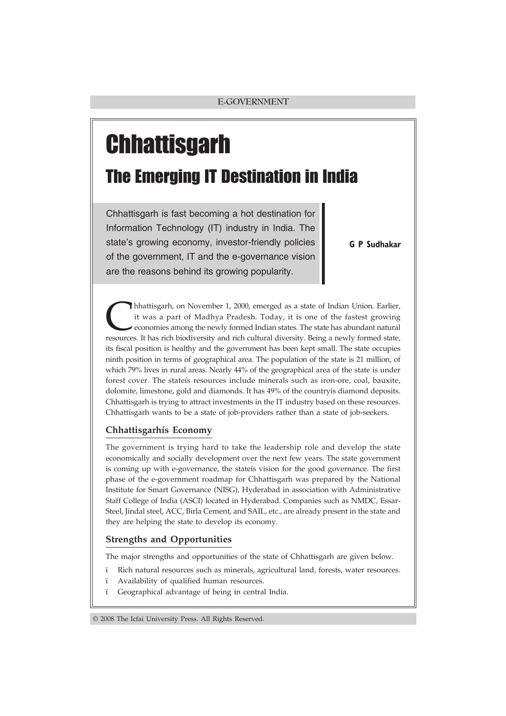# **Chhattisgarh**

# The Emerging IT Destination in India

Chhattisgarh is fast becoming a hot destination for Information Technology (IT) industry in India. The state's growing economy, investor-friendly policies of the government, IT and the e-governance vision are the reasons behind its growing popularity.

G P Sudhakar

Ihhattisgarh, on November 1, 2000, emerged as a state of Indian Union. Earlier, it was a part of Madhya Pradesh. Today, it is one of the fastest growing economies among the newly formed Indian states. The state has abundant natural resources. It has rich biodiversity and rich cultural diversity. Being a newly formed state, its fiscal position is healthy and the government has been kept small. The state occupies ninth position in terms of geographical area. The population of the state is 21 million, of which 79% lives in rural areas. Nearly 44% of the geographical area of the state is under forest cover. The stateís resources include minerals such as iron-ore, coal, bauxite, dolomite, limestone, gold and diamonds. It has 49% of the countryís diamond deposits. Chhattisgarh is trying to attract investments in the IT industry based on these resources. Chhattisgarh wants to be a state of job-providers rather than a state of job-seekers.

# **Chhattisgarhís Economy**

The government is trying hard to take the leadership role and develop the state economically and socially development over the next few years. The state government is coming up with e-governance, the stateís vision for the good governance. The first phase of the e-government roadmap for Chhattisgarh was prepared by the National Institute for Smart Governance (NISG), Hyderabad in association with Administrative Staff College of India (ASCI) located in Hyderabad. Companies such as NMDC, Essar-Steel, Jindal steel, ACC, Birla Cement, and SAIL, etc., are already present in the state and they are helping the state to develop its economy.

# **Strengths and Opportunities**

The major strengths and opportunities of the state of Chhattisgarh are given below.

- ï Rich natural resources such as minerals, agricultural land, forests, water resources.
- ï Availability of qualified human resources.
- ï Geographical advantage of being in central India.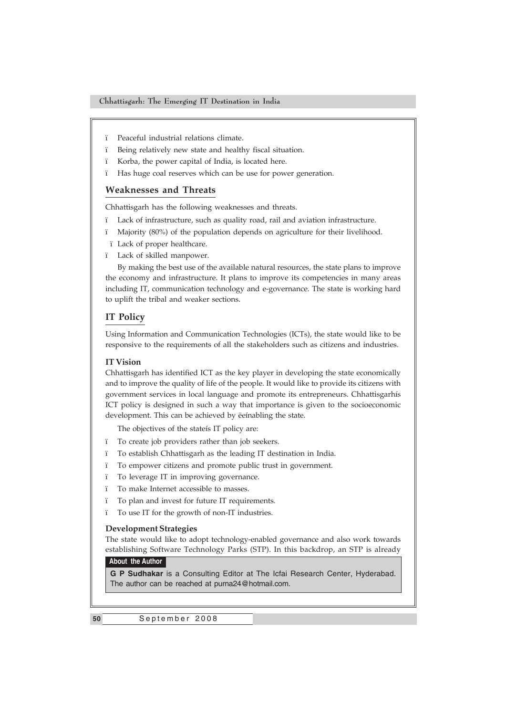- ï Peaceful industrial relations climate.
- ï Being relatively new state and healthy fiscal situation.
- ï Korba, the power capital of India, is located here.
- ï Has huge coal reserves which can be use for power generation.

# **Weaknesses and Threats**

Chhattisgarh has the following weaknesses and threats.

- ï Lack of infrastructure, such as quality road, rail and aviation infrastructure.
- ï Majority (80%) of the population depends on agriculture for their livelihood.
- ï Lack of proper healthcare.
- ï Lack of skilled manpower.

By making the best use of the available natural resources, the state plans to improve the economy and infrastructure. It plans to improve its competencies in many areas including IT, communication technology and e-governance. The state is working hard to uplift the tribal and weaker sections.

# **IT Policy**

Using Information and Communication Technologies (ICTs), the state would like to be responsive to the requirements of all the stakeholders such as citizens and industries.

#### **IT Vision**

Chhattisgarh has identified ICT as the key player in developing the state economically and to improve the quality of life of the people. It would like to provide its citizens with government services in local language and promote its entrepreneurs. Chhattisgarhís ICT policy is designed in such a way that importance is given to the socioeconomic development. This can be achieved by ëeínabling the state.

The objectives of the stateís IT policy are:

- ï To create job providers rather than job seekers.
- ï To establish Chhattisgarh as the leading IT destination in India.
- ï To empower citizens and promote public trust in government.
- ï To leverage IT in improving governance.
- ï To make Internet accessible to masses.
- ï To plan and invest for future IT requirements.
- ï To use IT for the growth of non-IT industries.

#### **Development Strategies**

The state would like to adopt technology-enabled governance and also work towards establishing Software Technology Parks (STP). In this backdrop, an STP is already

#### **About the Author**

**G P Sudhakar** is a Consulting Editor at The Icfai Research Center, Hyderabad. The author can be reached at purna24@hotmail.com.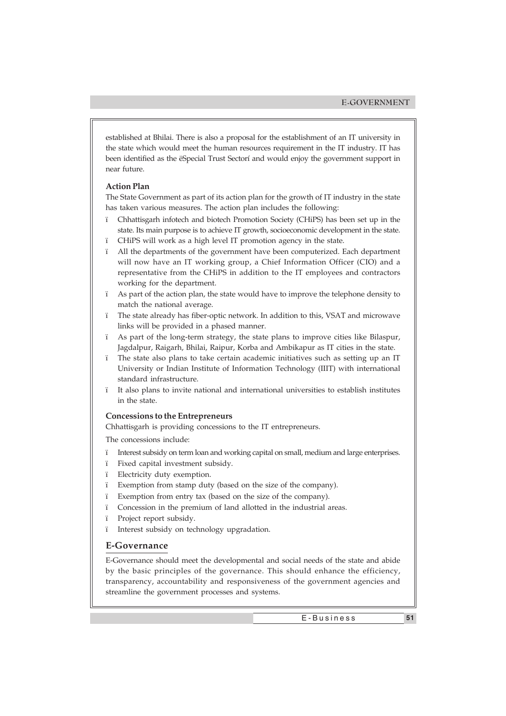established at Bhilai. There is also a proposal for the establishment of an IT university in the state which would meet the human resources requirement in the IT industry. IT has been identified as the ëSpecial Trust Sectorí and would enjoy the government support in near future.

#### **Action Plan**

The State Government as part of its action plan for the growth of IT industry in the state has taken various measures. The action plan includes the following:

- ï Chhattisgarh infotech and biotech Promotion Society (CHiPS) has been set up in the state. Its main purpose is to achieve IT growth, socioeconomic development in the state.
- ï CHiPS will work as a high level IT promotion agency in the state.
- ï All the departments of the government have been computerized. Each department will now have an IT working group, a Chief Information Officer (CIO) and a representative from the CHiPS in addition to the IT employees and contractors working for the department.
- ï As part of the action plan, the state would have to improve the telephone density to match the national average.
- ï The state already has fiber-optic network. In addition to this, VSAT and microwave links will be provided in a phased manner.
- ï As part of the long-term strategy, the state plans to improve cities like Bilaspur, Jagdalpur, Raigarh, Bhilai, Raipur, Korba and Ambikapur as IT cities in the state.
- ï The state also plans to take certain academic initiatives such as setting up an IT University or Indian Institute of Information Technology (IIIT) with international standard infrastructure.
- ï It also plans to invite national and international universities to establish institutes in the state.

# **Concessions to the Entrepreneurs**

Chhattisgarh is providing concessions to the IT entrepreneurs.

The concessions include:

- ï Interest subsidy on term loan and working capital on small, medium and large enterprises.
- ï Fixed capital investment subsidy.
- ï Electricity duty exemption.
- ï Exemption from stamp duty (based on the size of the company).
- ï Exemption from entry tax (based on the size of the company).
- ï Concession in the premium of land allotted in the industrial areas.
- ï Project report subsidy.
- ï Interest subsidy on technology upgradation.

#### **E-Governance**

E-Governance should meet the developmental and social needs of the state and abide by the basic principles of the governance. This should enhance the efficiency, transparency, accountability and responsiveness of the government agencies and streamline the government processes and systems.

E-Business **51**